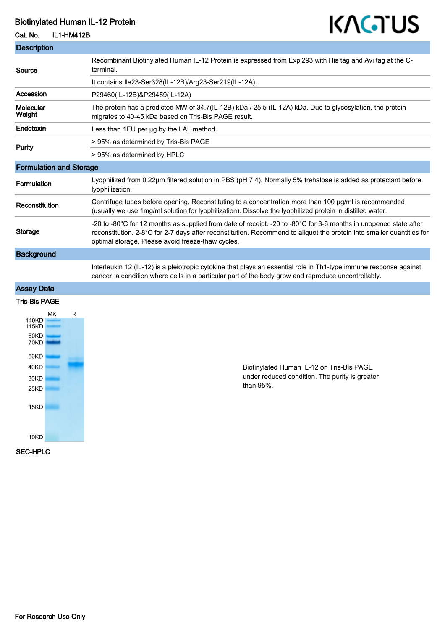# Biotinylated Human IL-12 Protein

#### Cat. No. IL1-HM412B

| <b>Description</b>             |                                                                                                                                                                                                                                                                                                |
|--------------------------------|------------------------------------------------------------------------------------------------------------------------------------------------------------------------------------------------------------------------------------------------------------------------------------------------|
| Source                         | Recombinant Biotinylated Human IL-12 Protein is expressed from Expi293 with His tag and Avi tag at the C-<br>terminal.                                                                                                                                                                         |
|                                | It contains Ile23-Ser328(IL-12B)/Arg23-Ser219(IL-12A).                                                                                                                                                                                                                                         |
| Accession                      | P29460(IL-12B)&P29459(IL-12A)                                                                                                                                                                                                                                                                  |
| Molecular<br>Weight            | The protein has a predicted MW of 34.7(IL-12B) kDa / 25.5 (IL-12A) kDa. Due to glycosylation, the protein<br>migrates to 40-45 kDa based on Tris-Bis PAGE result.                                                                                                                              |
| Endotoxin                      | Less than 1EU per ug by the LAL method.                                                                                                                                                                                                                                                        |
| Purity                         | > 95% as determined by Tris-Bis PAGE                                                                                                                                                                                                                                                           |
|                                | > 95% as determined by HPLC                                                                                                                                                                                                                                                                    |
| <b>Formulation and Storage</b> |                                                                                                                                                                                                                                                                                                |
| <b>Formulation</b>             | Lyophilized from 0.22µm filtered solution in PBS (pH 7.4). Normally 5% trehalose is added as protectant before<br>lyophilization.                                                                                                                                                              |
| Reconstitution                 | Centrifuge tubes before opening. Reconstituting to a concentration more than 100 µg/ml is recommended<br>(usually we use 1mg/ml solution for lyophilization). Dissolve the lyophilized protein in distilled water.                                                                             |
| <b>Storage</b>                 | -20 to -80°C for 12 months as supplied from date of receipt. -20 to -80°C for 3-6 months in unopened state after<br>reconstitution. 2-8°C for 2-7 days after reconstitution. Recommend to aliquot the protein into smaller quantities for<br>optimal storage. Please avoid freeze-thaw cycles. |
| <b>Background</b>              |                                                                                                                                                                                                                                                                                                |
|                                | Interleukin 12 (IL-12) is a pleiotropic cytokine that plays an essential role in Th1-type immune response against<br>cancer, a condition where cells in a particular part of the body grow and reproduce uncontrollably.                                                                       |
| <b>Assay Data</b>              |                                                                                                                                                                                                                                                                                                |
| <b>Tris-Bis PAGE</b>           |                                                                                                                                                                                                                                                                                                |
| МK<br>R                        |                                                                                                                                                                                                                                                                                                |



Biotinylated Human IL-12 on Tris-Bis PAGE under reduced condition. The purity is greater than 95%.

KAGTUS

SEC-HPLC